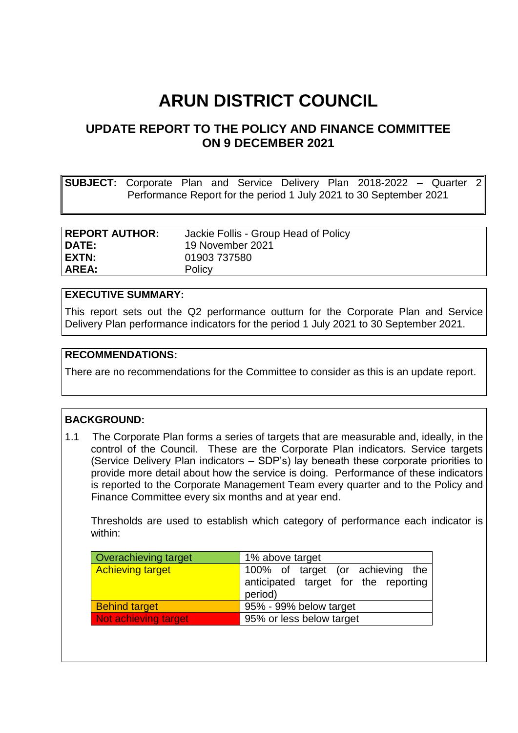# **ARUN DISTRICT COUNCIL**

# **UPDATE REPORT TO THE POLICY AND FINANCE COMMITTEE ON 9 DECEMBER 2021**

**SUBJECT:** Corporate Plan and Service Delivery Plan 2018-2022 – Quarter 2 Performance Report for the period 1 July 2021 to 30 September 2021

| <b>REPORT AUTHOR:</b> | Jackie Follis - Group Head of Policy |
|-----------------------|--------------------------------------|
| DATE:                 | 19 November 2021                     |
| EXTN:                 | 01903 737580                         |
| AREA:                 | Policy                               |

#### **EXECUTIVE SUMMARY:**

This report sets out the Q2 performance outturn for the Corporate Plan and Service Delivery Plan performance indicators for the period 1 July 2021 to 30 September 2021.

#### **RECOMMENDATIONS:**

There are no recommendations for the Committee to consider as this is an update report.

#### **BACKGROUND:**

1.1 The Corporate Plan forms a series of targets that are measurable and, ideally, in the control of the Council. These are the Corporate Plan indicators. Service targets (Service Delivery Plan indicators – SDP's) lay beneath these corporate priorities to provide more detail about how the service is doing. Performance of these indicators is reported to the Corporate Management Team every quarter and to the Policy and Finance Committee every six months and at year end.

Thresholds are used to establish which category of performance each indicator is within:

| Overachieving target    | 1% above target                                                                     |  |  |
|-------------------------|-------------------------------------------------------------------------------------|--|--|
| <b>Achieving target</b> | 100% of target (or achieving the<br>anticipated target for the reporting<br>period) |  |  |
| <b>Behind target</b>    | 95% - 99% below target                                                              |  |  |
| Not achieving target    | 95% or less below target                                                            |  |  |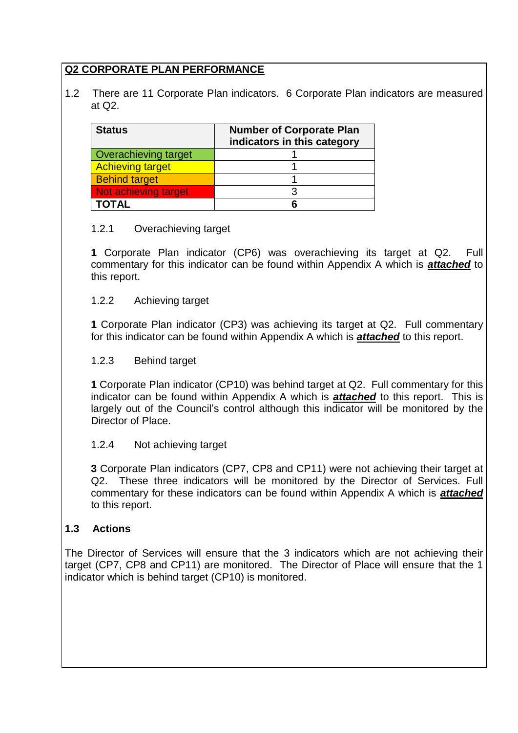# **Q2 CORPORATE PLAN PERFORMANCE**

1.2 There are 11 Corporate Plan indicators. 6 Corporate Plan indicators are measured at Q2.

| <b>Status</b>           | <b>Number of Corporate Plan</b><br>indicators in this category |  |
|-------------------------|----------------------------------------------------------------|--|
| Overachieving target    |                                                                |  |
| <b>Achieving target</b> |                                                                |  |
| <b>Behind target</b>    |                                                                |  |
| Not achieving target    |                                                                |  |
| TOTAL                   |                                                                |  |

#### 1.2.1 Overachieving target

**1** Corporate Plan indicator (CP6) was overachieving its target at Q2. Full commentary for this indicator can be found within Appendix A which is *attached* to this report.

#### 1.2.2 Achieving target

**1** Corporate Plan indicator (CP3) was achieving its target at Q2. Full commentary for this indicator can be found within Appendix A which is *attached* to this report.

#### 1.2.3 Behind target

**1** Corporate Plan indicator (CP10) was behind target at Q2. Full commentary for this indicator can be found within Appendix A which is *attached* to this report. This is largely out of the Council's control although this indicator will be monitored by the Director of Place.

## 1.2.4 Not achieving target

**3** Corporate Plan indicators (CP7, CP8 and CP11) were not achieving their target at Q2. These three indicators will be monitored by the Director of Services. Full commentary for these indicators can be found within Appendix A which is *attached* to this report.

## **1.3 Actions**

The Director of Services will ensure that the 3 indicators which are not achieving their target (CP7, CP8 and CP11) are monitored. The Director of Place will ensure that the 1 indicator which is behind target (CP10) is monitored.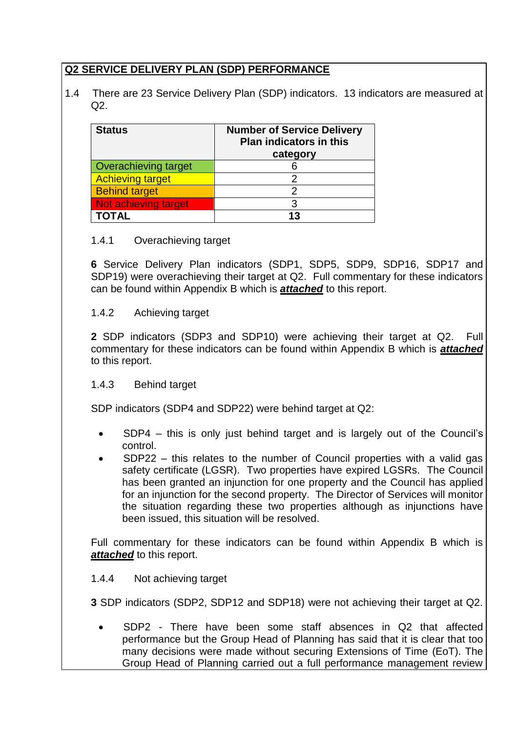# **Q2 SERVICE DELIVERY PLAN (SDP) PERFORMANCE**

1.4 There are 23 Service Delivery Plan (SDP) indicators. 13 indicators are measured at  $O2<sub>1</sub>$ 

| <b>Status</b>           | <b>Number of Service Delivery</b><br><b>Plan indicators in this</b><br>category |  |
|-------------------------|---------------------------------------------------------------------------------|--|
| Overachieving target    |                                                                                 |  |
| <b>Achieving target</b> |                                                                                 |  |
| <b>Behind target</b>    |                                                                                 |  |
| Not achieving target    |                                                                                 |  |
|                         | 13                                                                              |  |

## 1.4.1 Overachieving target

**6** Service Delivery Plan indicators (SDP1, SDP5, SDP9, SDP16, SDP17 and SDP19) were overachieving their target at Q2. Full commentary for these indicators can be found within Appendix B which is *attached* to this report.

## 1.4.2 Achieving target

**2** SDP indicators (SDP3 and SDP10) were achieving their target at Q2. Full commentary for these indicators can be found within Appendix B which is *attached* to this report.

## 1.4.3 Behind target

SDP indicators (SDP4 and SDP22) were behind target at Q2:

- SDP4 this is only just behind target and is largely out of the Council's control.
- SDP22 this relates to the number of Council properties with a valid gas safety certificate (LGSR). Two properties have expired LGSRs. The Council has been granted an injunction for one property and the Council has applied for an injunction for the second property. The Director of Services will monitor the situation regarding these two properties although as injunctions have been issued, this situation will be resolved.

Full commentary for these indicators can be found within Appendix B which is *attached* to this report.

#### 1.4.4 Not achieving target

**3** SDP indicators (SDP2, SDP12 and SDP18) were not achieving their target at Q2.

 SDP2 - There have been some staff absences in Q2 that affected performance but the Group Head of Planning has said that it is clear that too many decisions were made without securing Extensions of Time (EoT). The Group Head of Planning carried out a full performance management review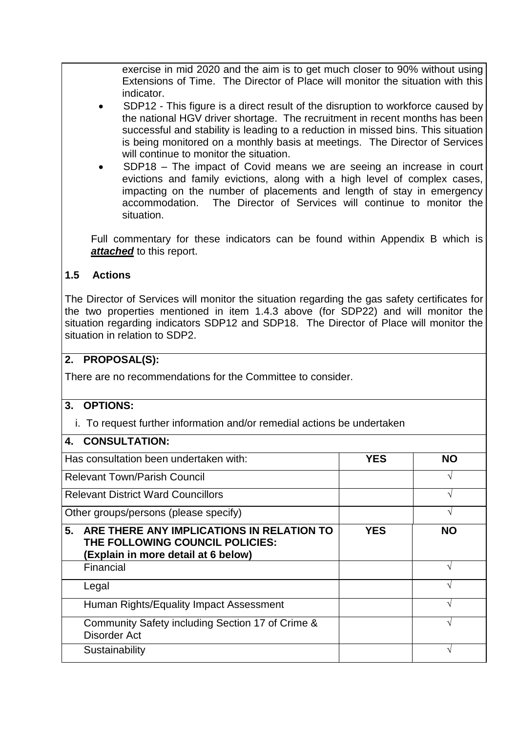exercise in mid 2020 and the aim is to get much closer to 90% without using Extensions of Time. The Director of Place will monitor the situation with this indicator.

- SDP12 This figure is a direct result of the disruption to workforce caused by the national HGV driver shortage. The recruitment in recent months has been successful and stability is leading to a reduction in missed bins. This situation is being monitored on a monthly basis at meetings. The Director of Services will continue to monitor the situation.
- SDP18 The impact of Covid means we are seeing an increase in court evictions and family evictions, along with a high level of complex cases, impacting on the number of placements and length of stay in emergency accommodation. The Director of Services will continue to monitor the situation.

Full commentary for these indicators can be found within Appendix B which is **attached** to this report.

## **1.5 Actions**

The Director of Services will monitor the situation regarding the gas safety certificates for the two properties mentioned in item 1.4.3 above (for SDP22) and will monitor the situation regarding indicators SDP12 and SDP18. The Director of Place will monitor the situation in relation to SDP2.

## **2. PROPOSAL(S):**

There are no recommendations for the Committee to consider.

## **3. OPTIONS:**

i. To request further information and/or remedial actions be undertaken

#### **4. CONSULTATION:**

| Has consultation been undertaken with:                                                                                    | YES        | NΟ        |
|---------------------------------------------------------------------------------------------------------------------------|------------|-----------|
| <b>Relevant Town/Parish Council</b>                                                                                       |            |           |
| <b>Relevant District Ward Councillors</b>                                                                                 |            |           |
| Other groups/persons (please specify)                                                                                     |            | ٦Ι        |
| 5.<br>ARE THERE ANY IMPLICATIONS IN RELATION TO<br>THE FOLLOWING COUNCIL POLICIES:<br>(Explain in more detail at 6 below) | <b>YES</b> | <b>NO</b> |
| Financial                                                                                                                 |            |           |
| Legal                                                                                                                     |            |           |
| Human Rights/Equality Impact Assessment                                                                                   |            |           |
| Community Safety including Section 17 of Crime &<br><b>Disorder Act</b>                                                   |            |           |
| Sustainability                                                                                                            |            |           |